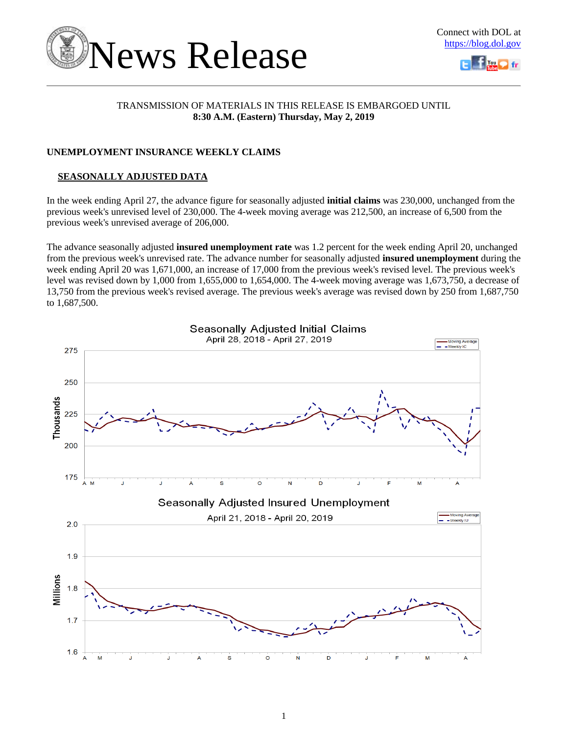



# TRANSMISSION OF MATERIALS IN THIS RELEASE IS EMBARGOED UNTIL **8:30 A.M. (Eastern) Thursday, May 2, 2019**

# **UNEMPLOYMENT INSURANCE WEEKLY CLAIMS**

# **SEASONALLY ADJUSTED DATA**

In the week ending April 27, the advance figure for seasonally adjusted **initial claims** was 230,000, unchanged from the previous week's unrevised level of 230,000. The 4-week moving average was 212,500, an increase of 6,500 from the previous week's unrevised average of 206,000.

The advance seasonally adjusted **insured unemployment rate** was 1.2 percent for the week ending April 20, unchanged from the previous week's unrevised rate. The advance number for seasonally adjusted **insured unemployment** during the week ending April 20 was 1,671,000, an increase of 17,000 from the previous week's revised level. The previous week's level was revised down by 1,000 from 1,655,000 to 1,654,000. The 4-week moving average was 1,673,750, a decrease of 13,750 from the previous week's revised average. The previous week's average was revised down by 250 from 1,687,750 to 1,687,500.

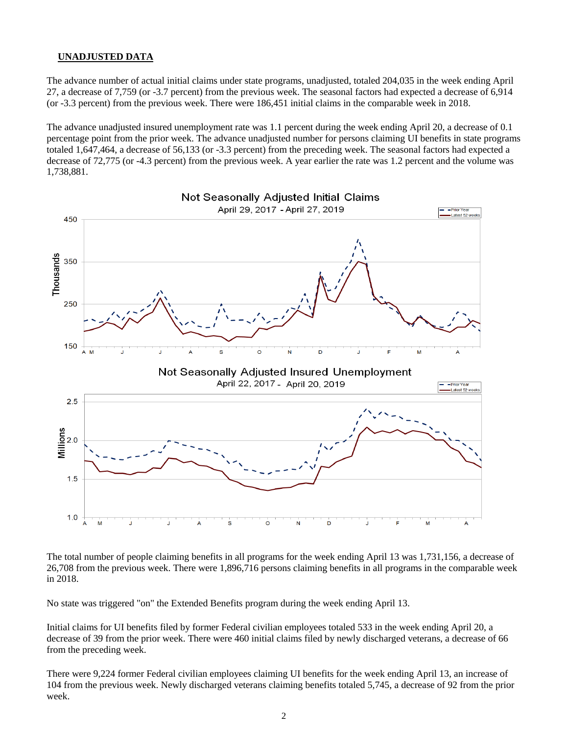### **UNADJUSTED DATA**

The advance number of actual initial claims under state programs, unadjusted, totaled 204,035 in the week ending April 27, a decrease of 7,759 (or -3.7 percent) from the previous week. The seasonal factors had expected a decrease of 6,914 (or -3.3 percent) from the previous week. There were 186,451 initial claims in the comparable week in 2018.

The advance unadjusted insured unemployment rate was 1.1 percent during the week ending April 20, a decrease of 0.1 percentage point from the prior week. The advance unadjusted number for persons claiming UI benefits in state programs totaled 1,647,464, a decrease of 56,133 (or -3.3 percent) from the preceding week. The seasonal factors had expected a decrease of 72,775 (or -4.3 percent) from the previous week. A year earlier the rate was 1.2 percent and the volume was 1,738,881.



The total number of people claiming benefits in all programs for the week ending April 13 was 1,731,156, a decrease of 26,708 from the previous week. There were 1,896,716 persons claiming benefits in all programs in the comparable week in 2018.

No state was triggered "on" the Extended Benefits program during the week ending April 13.

Initial claims for UI benefits filed by former Federal civilian employees totaled 533 in the week ending April 20, a decrease of 39 from the prior week. There were 460 initial claims filed by newly discharged veterans, a decrease of 66 from the preceding week.

There were 9,224 former Federal civilian employees claiming UI benefits for the week ending April 13, an increase of 104 from the previous week. Newly discharged veterans claiming benefits totaled 5,745, a decrease of 92 from the prior week.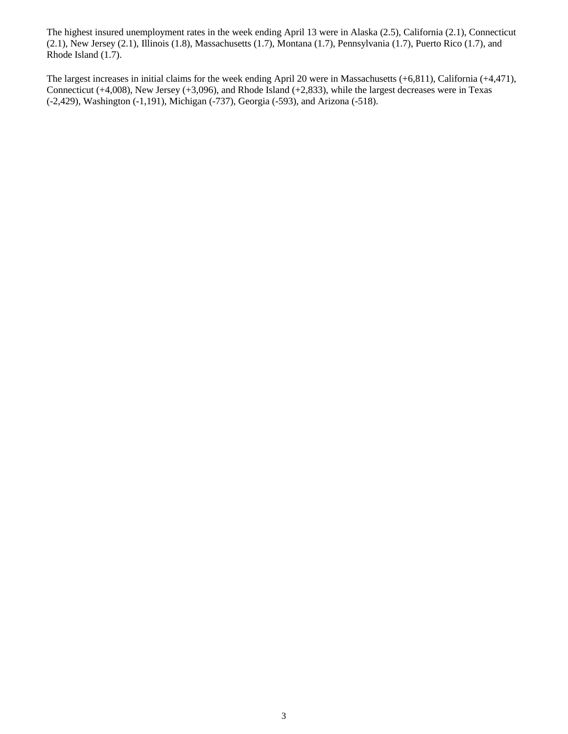The highest insured unemployment rates in the week ending April 13 were in Alaska (2.5), California (2.1), Connecticut (2.1), New Jersey (2.1), Illinois (1.8), Massachusetts (1.7), Montana (1.7), Pennsylvania (1.7), Puerto Rico (1.7), and Rhode Island (1.7).

The largest increases in initial claims for the week ending April 20 were in Massachusetts (+6,811), California (+4,471), Connecticut (+4,008), New Jersey (+3,096), and Rhode Island (+2,833), while the largest decreases were in Texas (-2,429), Washington (-1,191), Michigan (-737), Georgia (-593), and Arizona (-518).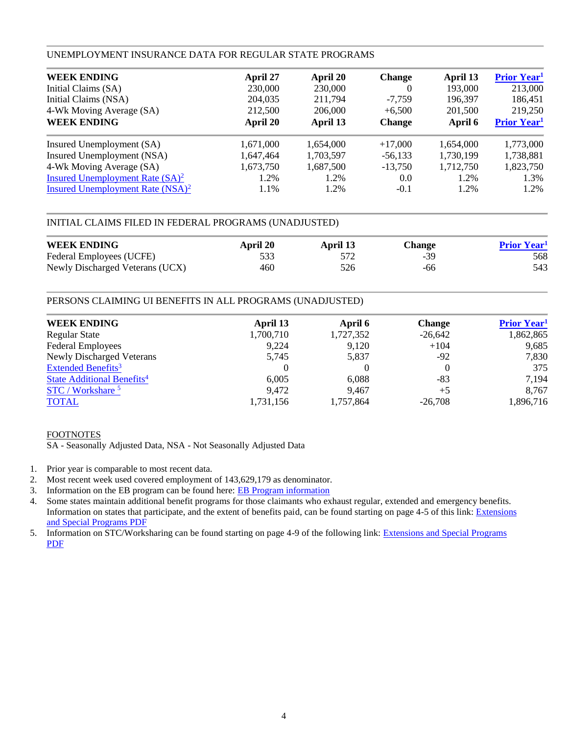### UNEMPLOYMENT INSURANCE DATA FOR REGULAR STATE PROGRAMS

| <b>WEEK ENDING</b>                  | April 27  | April 20  | <b>Change</b> | April 13  | <b>Prior Year</b> <sup>1</sup> |
|-------------------------------------|-----------|-----------|---------------|-----------|--------------------------------|
| Initial Claims (SA)                 | 230,000   | 230,000   | $\theta$      | 193,000   | 213,000                        |
| Initial Claims (NSA)                | 204,035   | 211,794   | $-7.759$      | 196,397   | 186,451                        |
| 4-Wk Moving Average (SA)            | 212,500   | 206,000   | $+6,500$      | 201,500   | 219,250                        |
| <b>WEEK ENDING</b>                  | April 20  | April 13  | <b>Change</b> | April 6   | <b>Prior Year</b> <sup>1</sup> |
| Insured Unemployment (SA)           | 1,671,000 | 1,654,000 | $+17,000$     | 1,654,000 | 1,773,000                      |
| Insured Unemployment (NSA)          | 1,647,464 | 1,703,597 | $-56,133$     | 1,730,199 | 1,738,881                      |
| 4-Wk Moving Average (SA)            | 1,673,750 | 1,687,500 | $-13,750$     | 1,712,750 | 1,823,750                      |
| Insured Unemployment Rate $(SA)^2$  | 1.2%      | 1.2%      | 0.0           | 1.2%      | 1.3%                           |
| Insured Unemployment Rate $(NSA)^2$ | 1.1%      | 1.2%      | $-0.1$        | 1.2%      | 1.2%                           |

# INITIAL CLAIMS FILED IN FEDERAL PROGRAMS (UNADJUSTED)

| <b>WEEK ENDING</b>              | April 20 | April 13 | <b>Change</b> | <b>Prior Year</b> |
|---------------------------------|----------|----------|---------------|-------------------|
| Federal Employees (UCFE)        |          |          | $-39$         | 568               |
| Newly Discharged Veterans (UCX) | 460      | 526      | -66           | 543               |

# PERSONS CLAIMING UI BENEFITS IN ALL PROGRAMS (UNADJUSTED)

| <b>WEEK ENDING</b>                     | April 13  | April 6   | <b>Change</b> | <b>Prior Year</b> <sup>1</sup> |
|----------------------------------------|-----------|-----------|---------------|--------------------------------|
| <b>Regular State</b>                   | 1,700,710 | 1,727,352 | $-26,642$     | 1,862,865                      |
| <b>Federal Employees</b>               | 9,224     | 9,120     | $+104$        | 9,685                          |
| <b>Newly Discharged Veterans</b>       | 5,745     | 5,837     | $-92$         | 7,830                          |
| Extended Benefits <sup>3</sup>         |           |           |               | 375                            |
| State Additional Benefits <sup>4</sup> | 6.005     | 6,088     | -83           | 7,194                          |
| STC / Workshare <sup>5</sup>           | 9,472     | 9.467     | $+5$          | 8,767                          |
| <b>TOTAL</b>                           | 1,731,156 | 1,757,864 | $-26.708$     | 1,896,716                      |

# FOOTNOTES

SA - Seasonally Adjusted Data, NSA - Not Seasonally Adjusted Data

- 1. Prior year is comparable to most recent data.
- 2. Most recent week used covered employment of 143,629,179 as denominator.
- 3. Information on the EB program can be found here: [EB Program information](https://oui.doleta.gov/unemploy/extenben.asp)
- 4. Some states maintain additional benefit programs for those claimants who exhaust regular, extended and emergency benefits. Information on states that participate, and the extent of benefits paid, can be found starting on page 4-5 of this link: [Extensions](http://oui.doleta.gov/unemploy/pdf/uilawcompar/2010/special.pdf)  [and Special Programs PDF](http://oui.doleta.gov/unemploy/pdf/uilawcompar/2010/special.pdf)
- 5. Information on STC/Worksharing can be found starting on page 4-9 of the following link: [Extensions and Special Programs](http://oui.doleta.gov/unemploy/pdf/uilawcompar/2010/special.pdf)  [PDF](http://oui.doleta.gov/unemploy/pdf/uilawcompar/2010/special.pdf)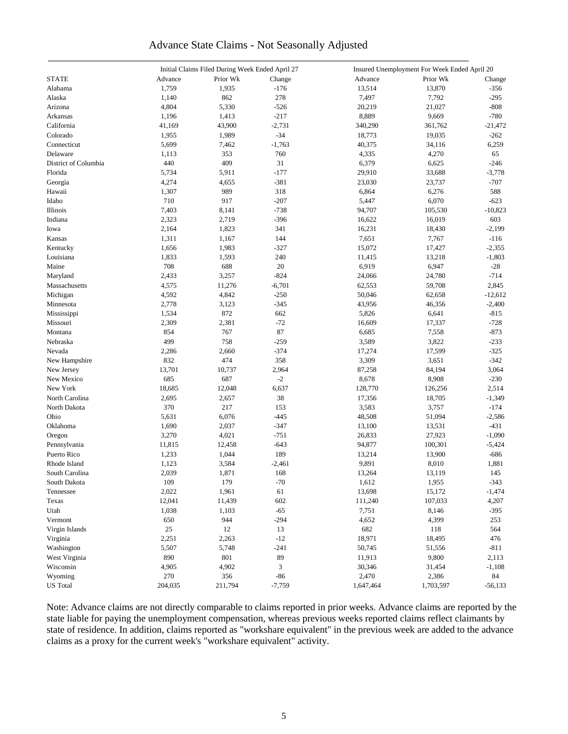# Advance State Claims - Not Seasonally Adjusted

|                      |         | Initial Claims Filed During Week Ended April 27 |          | Insured Unemployment For Week Ended April 20 |           |           |  |
|----------------------|---------|-------------------------------------------------|----------|----------------------------------------------|-----------|-----------|--|
| <b>STATE</b>         | Advance | Prior Wk                                        | Change   | Advance                                      | Prior Wk  | Change    |  |
| Alabama              | 1,759   | 1,935                                           | $-176$   | 13,514                                       | 13,870    | $-356$    |  |
| Alaska               | 1,140   | 862                                             | 278      | 7,497                                        | 7,792     | $-295$    |  |
| Arizona              | 4,804   | 5,330                                           | $-526$   | 20,219                                       | 21,027    | $-808$    |  |
| Arkansas             | 1,196   | 1,413                                           | $-217$   | 8,889                                        | 9,669     | $-780$    |  |
| California           | 41,169  | 43,900                                          | $-2,731$ | 340,290                                      | 361,762   | $-21,472$ |  |
| Colorado             | 1,955   | 1,989                                           | $-34$    | 18,773                                       | 19,035    | $-262$    |  |
| Connecticut          | 5,699   | 7,462                                           | $-1,763$ | 40,375                                       | 34,116    | 6,259     |  |
| Delaware             | 1,113   | 353                                             | 760      | 4,335                                        | 4,270     | 65        |  |
| District of Columbia |         | 409                                             | 31       |                                              |           | $-246$    |  |
|                      | 440     |                                                 |          | 6,379                                        | 6,625     |           |  |
| Florida              | 5,734   | 5,911                                           | $-177$   | 29,910                                       | 33,688    | $-3,778$  |  |
| Georgia              | 4,274   | 4,655                                           | $-381$   | 23,030                                       | 23,737    | $-707$    |  |
| Hawaii               | 1,307   | 989                                             | 318      | 6,864                                        | 6,276     | 588       |  |
| Idaho                | 710     | 917                                             | $-207$   | 5,447                                        | 6,070     | $-623$    |  |
| Illinois             | 7,403   | 8,141                                           | $-738$   | 94,707                                       | 105,530   | $-10,823$ |  |
| Indiana              | 2,323   | 2,719                                           | $-396$   | 16,622                                       | 16,019    | 603       |  |
| Iowa                 | 2,164   | 1,823                                           | 341      | 16,231                                       | 18,430    | $-2,199$  |  |
| Kansas               | 1,311   | 1,167                                           | 144      | 7,651                                        | 7,767     | $-116$    |  |
| Kentucky             | 1,656   | 1,983                                           | $-327$   | 15,072                                       | 17,427    | $-2,355$  |  |
| Louisiana            | 1,833   | 1,593                                           | 240      | 11,415                                       | 13,218    | $-1,803$  |  |
| Maine                | 708     | 688                                             | 20       | 6,919                                        | 6,947     | $-28$     |  |
| Maryland             | 2,433   | 3,257                                           | $-824$   | 24,066                                       | 24,780    | $-714$    |  |
| Massachusetts        | 4,575   | 11,276                                          | $-6,701$ | 62,553                                       | 59,708    | 2,845     |  |
| Michigan             | 4,592   | 4,842                                           | $-250$   | 50,046                                       | 62,658    | $-12,612$ |  |
| Minnesota            | 2,778   | 3,123                                           | $-345$   | 43,956                                       | 46,356    | $-2,400$  |  |
| Mississippi          | 1,534   | 872                                             | 662      | 5,826                                        | 6,641     | $-815$    |  |
| Missouri             | 2,309   | 2,381                                           | $-72$    | 16,609                                       | 17,337    | $-728$    |  |
| Montana              | 854     | 767                                             | 87       | 6,685                                        | 7,558     | $-873$    |  |
| Nebraska             | 499     | 758                                             | $-259$   | 3,589                                        | 3,822     | $-233$    |  |
| Nevada               | 2,286   | 2,660                                           | $-374$   | 17,274                                       | 17,599    | $-325$    |  |
| New Hampshire        | 832     | 474                                             | 358      | 3,309                                        | 3,651     | $-342$    |  |
| New Jersey           | 13,701  | 10,737                                          | 2,964    | 87,258                                       | 84,194    | 3,064     |  |
| New Mexico           | 685     | 687                                             | $-2$     | 8,678                                        | 8,908     | $-230$    |  |
| New York             | 18,685  | 12,048                                          | 6,637    | 128,770                                      | 126,256   | 2,514     |  |
| North Carolina       | 2,695   | 2,657                                           | 38       | 17,356                                       | 18,705    | $-1,349$  |  |
|                      | 370     |                                                 |          |                                              |           |           |  |
| North Dakota         |         | 217                                             | 153      | 3,583                                        | 3,757     | $-174$    |  |
| Ohio                 | 5,631   | 6,076                                           | $-445$   | 48,508                                       | 51,094    | $-2,586$  |  |
| Oklahoma             | 1,690   | 2,037                                           | $-347$   | 13,100                                       | 13,531    | $-431$    |  |
| Oregon               | 3,270   | 4,021                                           | $-751$   | 26,833                                       | 27,923    | $-1,090$  |  |
| Pennsylvania         | 11,815  | 12,458                                          | $-643$   | 94,877                                       | 100,301   | $-5,424$  |  |
| Puerto Rico          | 1,233   | 1,044                                           | 189      | 13,214                                       | 13,900    | $-686$    |  |
| Rhode Island         | 1,123   | 3,584                                           | $-2,461$ | 9,891                                        | 8,010     | 1,881     |  |
| South Carolina       | 2,039   | 1,871                                           | 168      | 13,264                                       | 13,119    | 145       |  |
| South Dakota         | 109     | 179                                             | $-70$    | 1,612                                        | 1,955     | $-343$    |  |
| Tennessee            | 2,022   | 1,961                                           | 61       | 13,698                                       | 15,172    | $-1,474$  |  |
| Texas                | 12,041  | 11,439                                          | 602      | 111,240                                      | 107,033   | 4,207     |  |
| Utah                 | 1,038   | 1,103                                           | $-65$    | 7,751                                        | 8,146     | $-395$    |  |
| Vermont              | 650     | 944                                             | $-294$   | 4,652                                        | 4,399     | 253       |  |
| Virgin Islands       | 25      | $12\,$                                          | 13       | 682                                          | 118       | 564       |  |
| Virginia             | 2,251   | 2,263                                           | $-12$    | 18,971                                       | 18,495    | 476       |  |
| Washington           | 5,507   | 5,748                                           | $-241$   | 50,745                                       | 51,556    | $-811$    |  |
| West Virginia        | 890     | 801                                             | 89       | 11,913                                       | 9,800     | 2,113     |  |
| Wisconsin            | 4,905   | 4,902                                           | 3        | 30,346                                       | 31,454    | $-1,108$  |  |
| Wyoming              | 270     | 356                                             | $-86$    | 2,470                                        | 2,386     | 84        |  |
| <b>US</b> Total      | 204,035 | 211,794                                         | $-7,759$ | 1,647,464                                    | 1,703,597 | $-56,133$ |  |
|                      |         |                                                 |          |                                              |           |           |  |

Note: Advance claims are not directly comparable to claims reported in prior weeks. Advance claims are reported by the state liable for paying the unemployment compensation, whereas previous weeks reported claims reflect claimants by state of residence. In addition, claims reported as "workshare equivalent" in the previous week are added to the advance claims as a proxy for the current week's "workshare equivalent" activity.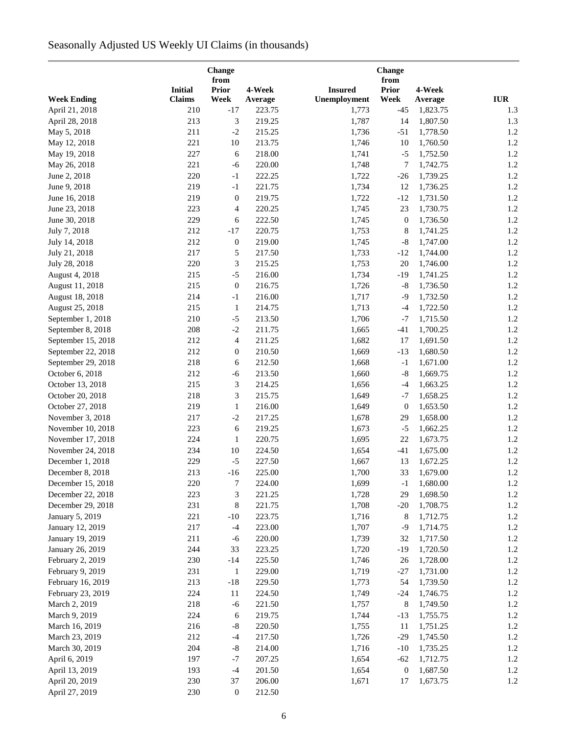# Seasonally Adjusted US Weekly UI Claims (in thousands)

|                        |                | Change<br>from   |         |                | <b>Change</b><br>from |          |            |
|------------------------|----------------|------------------|---------|----------------|-----------------------|----------|------------|
|                        | <b>Initial</b> | <b>Prior</b>     | 4-Week  | <b>Insured</b> | <b>Prior</b>          | 4-Week   |            |
| <b>Week Ending</b>     | <b>Claims</b>  | Week             | Average | Unemployment   | Week                  | Average  | <b>IUR</b> |
| April 21, 2018         | 210            | $-17$            | 223.75  | 1,773          | $-45$                 | 1,823.75 | 1.3        |
| April 28, 2018         | 213            | 3                | 219.25  | 1,787          | 14                    | 1,807.50 | 1.3        |
| May 5, 2018            | 211            | $-2$             | 215.25  | 1,736          | $-51$                 | 1,778.50 | 1.2        |
| May 12, 2018           | 221            | 10               | 213.75  | 1,746          | 10                    | 1,760.50 | 1.2        |
| May 19, 2018           | 227            | 6                | 218.00  | 1,741          | $-5$                  | 1,752.50 | 1.2        |
| May 26, 2018           | 221            | $-6$             | 220.00  | 1,748          | 7                     | 1,742.75 | 1.2        |
| June 2, 2018           | 220            | $-1$             | 222.25  | 1,722          | $-26$                 | 1,739.25 | 1.2        |
| June 9, 2018           | 219            | $-1$             | 221.75  | 1,734          | 12                    | 1,736.25 | 1.2        |
| June 16, 2018          | 219            | $\boldsymbol{0}$ | 219.75  | 1,722          | $-12$                 | 1,731.50 | 1.2        |
| June 23, 2018          | 223            | 4                | 220.25  | 1,745          | 23                    | 1,730.75 | 1.2        |
| June 30, 2018          | 229            | 6                | 222.50  | 1,745          | $\boldsymbol{0}$      | 1,736.50 | 1.2        |
| July 7, 2018           | 212            | $-17$            | 220.75  | 1,753          | 8                     | 1,741.25 | 1.2        |
| July 14, 2018          | 212            | $\boldsymbol{0}$ | 219.00  | 1,745          | $-8$                  | 1,747.00 | 1.2        |
| July 21, 2018          | 217            | 5                | 217.50  | 1,733          | $-12$                 | 1,744.00 | 1.2        |
| July 28, 2018          | 220            | 3                | 215.25  | 1,753          | $20\,$                | 1,746.00 | 1.2        |
| August 4, 2018         | 215            | $-5$             | 216.00  | 1,734          | $-19$                 | 1,741.25 | 1.2        |
| August 11, 2018        | 215            | $\boldsymbol{0}$ | 216.75  | 1,726          | $-8$                  | 1,736.50 | 1.2        |
| August 18, 2018        | 214            | $-1$             | 216.00  | 1,717          | $-9$                  | 1,732.50 | 1.2        |
| August 25, 2018        | 215            | $\mathbf{1}$     | 214.75  | 1,713          | $-4$                  | 1,722.50 | 1.2        |
| September 1, 2018      | 210            | $-5$             | 213.50  | 1,706          | $-7$                  | 1,715.50 | 1.2        |
| September 8, 2018      | 208            | $-2$             | 211.75  | 1,665          | $-41$                 | 1,700.25 | 1.2        |
| September 15, 2018     | 212            | 4                | 211.25  | 1,682          | 17                    | 1,691.50 | 1.2        |
| September 22, 2018     | 212            | 0                | 210.50  | 1,669          | $-13$                 | 1,680.50 | 1.2        |
| September 29, 2018     | 218            | 6                | 212.50  | 1,668          | $^{\rm -1}$           | 1,671.00 | 1.2        |
| October 6, 2018        | 212            | $-6$             | 213.50  | 1,660          | $\mbox{-}8$           | 1,669.75 | 1.2        |
| October 13, 2018       | 215            | 3                | 214.25  | 1,656          | $-4$                  | 1,663.25 | 1.2        |
| October 20, 2018       | 218            | 3                | 215.75  | 1,649          | $-7$                  | 1,658.25 | 1.2        |
| October 27, 2018       | 219            | $\mathbf{1}$     | 216.00  | 1,649          | $\boldsymbol{0}$      | 1,653.50 | 1.2        |
| November 3, 2018       | 217            | $-2$             | 217.25  | 1,678          | 29                    | 1,658.00 | 1.2        |
| November 10, 2018      | 223            | 6                | 219.25  | 1,673          | $-5$                  | 1,662.25 | 1.2        |
| November 17, 2018      | 224            | $\mathbf{1}$     | 220.75  | 1,695          | $22\,$                | 1,673.75 | 1.2        |
| November 24, 2018      | 234            | 10               | 224.50  | 1,654          | $-41$                 | 1,675.00 | 1.2        |
| December 1, 2018       | 229            | $-5$             | 227.50  | 1,667          | 13                    | 1,672.25 | 1.2        |
| December 8, 2018       | 213            | $-16$            | 225.00  | 1,700          | 33                    | 1,679.00 | 1.2        |
| December 15, 2018      | 220            | 7                | 224.00  | 1,699          | $-1$                  | 1,680.00 | 1.2        |
| December 22, 2018      | 223            | 3                | 221.25  | 1,728          | 29                    | 1,698.50 | 1.2        |
| December 29, 2018      | 231            | 8                | 221.75  | 1,708          | $-20$                 | 1,708.75 | 1.2        |
| <b>January 5, 2019</b> | 221            | $-10$            | 223.75  | 1,716          | 8                     | 1,712.75 | 1.2        |
| January 12, 2019       | 217            | $-4$             | 223.00  | 1,707          | $-9$                  | 1,714.75 | 1.2        |
| January 19, 2019       | 211            | $-6$             | 220.00  | 1,739          | 32                    | 1,717.50 | 1.2        |
| January 26, 2019       | 244            | 33               | 223.25  | 1,720          | $-19$                 | 1,720.50 | 1.2        |
| February 2, 2019       | 230            | $-14$            | 225.50  | 1,746          | 26                    | 1,728.00 | 1.2        |
| February 9, 2019       | 231            | 1                | 229.00  | 1,719          | $-27$                 | 1,731.00 | 1.2        |
| February 16, 2019      | 213            | $-18$            | 229.50  | 1,773          | 54                    | 1,739.50 | 1.2        |
| February 23, 2019      | 224            | 11               | 224.50  | 1,749          | $-24$                 | 1,746.75 | 1.2        |
| March 2, 2019          | 218            | $-6$             | 221.50  | 1,757          | 8                     | 1,749.50 | 1.2        |
| March 9, 2019          | 224            | 6                | 219.75  | 1,744          | $-13$                 | 1,755.75 | 1.2        |
| March 16, 2019         | 216            | $\mbox{-}8$      | 220.50  | 1,755          | 11                    | 1,751.25 | 1.2        |
| March 23, 2019         | 212            | $-4$             | 217.50  | 1,726          | $-29$                 | 1,745.50 | 1.2        |
| March 30, 2019         | 204            | $\text{-}8$      | 214.00  | 1,716          | $-10$                 | 1,735.25 | 1.2        |
| April 6, 2019          | 197            | $-7$             | 207.25  | 1,654          | $-62$                 | 1,712.75 | 1.2        |
| April 13, 2019         | 193            | $-4$             | 201.50  | 1,654          | $\boldsymbol{0}$      | 1,687.50 | 1.2        |
| April 20, 2019         | 230            | 37               | 206.00  | 1,671          | 17                    | 1,673.75 | 1.2        |
| April 27, 2019         | 230            | $\boldsymbol{0}$ | 212.50  |                |                       |          |            |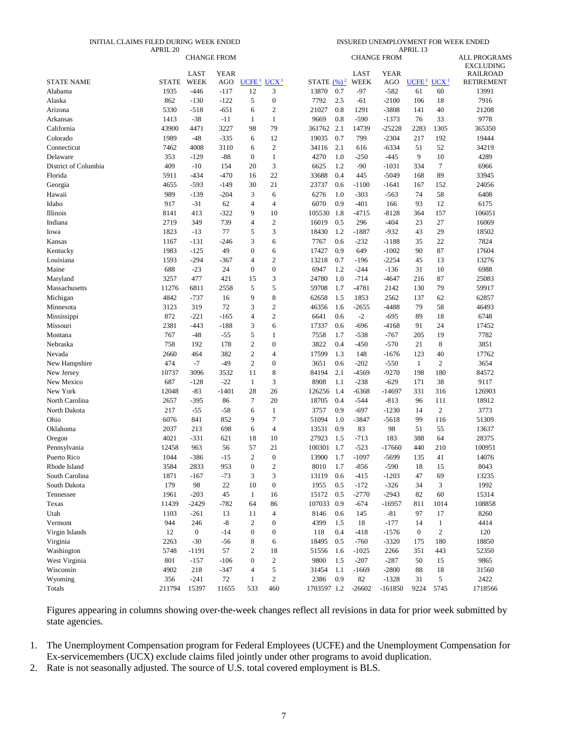#### INITIAL CLAIMS FILED DURING WEEK ENDED

INSURED UNEMPLOYMENT FOR WEEK ENDED

|                              | APRIL 20             |                    |               |                         |                          |                                  |     |               |                    | APRIL 13                                 |                |                                         |
|------------------------------|----------------------|--------------------|---------------|-------------------------|--------------------------|----------------------------------|-----|---------------|--------------------|------------------------------------------|----------------|-----------------------------------------|
|                              |                      | <b>CHANGE FROM</b> |               |                         |                          |                                  |     |               | <b>CHANGE FROM</b> |                                          |                | <b>ALL PROGRAMS</b><br><b>EXCLUDING</b> |
|                              |                      | LAST               | <b>YEAR</b>   |                         |                          |                                  |     | <b>LAST</b>   | <b>YEAR</b>        |                                          |                | <b>RAILROAD</b>                         |
| <b>STATE NAME</b><br>Alabama | <b>STATE</b><br>1935 | WEEK<br>$-446$     | AGO<br>$-117$ | UCFE <sup>1</sup><br>12 | UCX <sup>1</sup><br>3    | STATE $(\frac{9}{6})^2$<br>13870 | 0.7 | WEEK<br>$-97$ | AGO<br>$-582$      | UCFE <sup>1</sup> UCX <sup>1</sup><br>61 | 60             | <b>RETIREMENT</b><br>13991              |
| Alaska                       | 862                  | $-130$             | $-122$        | 5                       | $\boldsymbol{0}$         | 7792                             | 2.5 | $-61$         | $-2100$            | 106                                      | 18             | 7916                                    |
| Arizona                      | 5330                 | $-518$             | $-651$        | 6                       | $\overline{c}$           | 21027                            | 0.8 | 1291          | $-3808$            | 141                                      | 40             | 21208                                   |
| Arkansas                     | 1413                 | $-38$              | $-11$         | 1                       | $\mathbf{1}$             | 9669                             | 0.8 | $-590$        | $-1373$            | 76                                       | 33             | 9778                                    |
| California                   | 43900                | 4471               | 3227          | 98                      | 79                       | 361762                           | 2.1 | 14739         | $-25228$           | 2283                                     | 1305           | 365350                                  |
| Colorado                     | 1989                 | $-48$              | $-335$        | 6                       | 12                       | 19035                            | 0.7 | 799           | $-2304$            | 217                                      | 192            | 19444                                   |
| Connecticut                  | 7462                 | 4008               | 3110          | 6                       | $\mathfrak{2}$           | 34116                            | 2.1 | 616           | $-6334$            | 51                                       | 52             | 34219                                   |
| Delaware                     | 353                  | $-129$             | $-88$         | $\boldsymbol{0}$        | $\mathbf{1}$             | 4270                             | 1.0 | -250          | $-445$             | 9                                        | 10             | 4289                                    |
| District of Columbia         | 409                  | $-10$              | 154           | 20                      | 3                        | 6625                             | 1.2 | -90           | $-1031$            | 334                                      | $\tau$         | 6966                                    |
| Florida                      | 5911                 | $-434$             | $-470$        | 16                      | 22                       | 33688                            | 0.4 | 445           | $-5049$            | 168                                      | 89             | 33945                                   |
| Georgia                      | 4655                 | $-593$             | $-149$        | 30                      | 21                       | 23737                            | 0.6 | $-1100$       | $-1641$            | 167                                      | 152            | 24056                                   |
| Hawaii                       | 989                  | $-139$             | $-204$        | 3                       | 6                        | 6276                             | 1.0 | $-303$        | $-563$             | 74                                       | 58             | 6408                                    |
| Idaho                        | 917                  | $-31$              | 62            | $\overline{4}$          | $\overline{4}$           | 6070                             | 0.9 | $-401$        | 166                | 93                                       | 12             | 6175                                    |
| Illinois                     | 8141                 | 413                | $-322$        | 9                       | 10                       | 105530                           | 1.8 | $-4715$       | $-8128$            | 364                                      | 157            | 106051                                  |
| Indiana                      | 2719                 | 349                | 739           | $\overline{4}$          | $\overline{c}$           | 16019                            | 0.5 | 296           | $-404$             | 23                                       | 27             | 16069                                   |
| Iowa                         | 1823                 | $-13$              | 77            | 5                       | 3                        | 18430                            | 1.2 | -1887         | $-932$             | 43                                       | 29             | 18502                                   |
| Kansas                       | 1167                 | $-131$             | $-246$        | 3                       | 6                        | 7767                             | 0.6 | $-232$        | $-1188$            | 35                                       | 22             | 7824                                    |
| Kentucky                     | 1983                 | $-125$             | 49            | $\mathbf{0}$            | 6                        | 17427                            | 0.9 | 649           | $-1002$            | 90                                       | 87             | 17604                                   |
| Louisiana                    | 1593                 | $-294$             | $-367$        | $\overline{4}$          | $\mathbf{2}$             | 13218                            | 0.7 | $-196$        | $-2254$            | 45                                       | 13             | 13276                                   |
| Maine                        | 688                  | $-23$              | 24            | $\boldsymbol{0}$        | $\boldsymbol{0}$         | 6947                             | 1.2 | $-244$        | $-136$             | 31                                       | 10             | 6988                                    |
| Maryland                     | 3257                 | 477                | 421           | 15                      | 3                        | 24780                            | 1.0 | $-714$        | $-4647$            | 216                                      | 87             | 25083                                   |
| Massachusetts                | 11276                | 6811               | 2558          | 5                       | 5                        | 59708                            | 1.7 | $-4781$       | 2142               | 130                                      | 79             | 59917                                   |
| Michigan                     | 4842                 | $-737$             | 16            | 9                       | 8                        | 62658                            | 1.5 | 1853          | 2562               | 137                                      | 62             | 62857                                   |
| Minnesota                    | 3123                 | 319                | 72            | 3                       | $\mathbf{2}$             | 46356                            | 1.6 | -2655         | $-4488$            | 79                                       | 58             | 46493                                   |
| Mississippi                  | 872                  | $-221$             | $-165$        | $\overline{4}$          | $\overline{c}$           | 6641                             | 0.6 | $-2$          | $-695$             | 89                                       | 18             | 6748                                    |
| Missouri                     | 2381                 | $-443$             | $-188$        | 3                       | 6                        | 17337                            | 0.6 | $-696$        | $-4168$            | 91                                       | 24             | 17452                                   |
| Montana                      | 767                  | $-48$              | $-55$         | 5                       | $\mathbf{1}$             | 7558                             | 1.7 | $-538$        | $-767$             | 205                                      | 19             | 7782                                    |
| Nebraska                     | 758                  | 192                | 178           | $\mathbf{2}$            | $\mathbf{0}$             | 3822                             | 0.4 | $-450$        | $-570$             | 21                                       | 8              | 3851                                    |
| Nevada                       | 2660                 | 464                | 382           | $\overline{2}$          | $\overline{4}$           | 17599                            | 1.3 | 148           | $-1676$            | 123                                      | 40             | 17762                                   |
| New Hampshire                | 474                  | $-7$               | $-49$         | $\overline{2}$          | $\mathbf{0}$             | 3651                             | 0.6 | $-202$        | $-550$             | $\mathbf{1}$                             | $\overline{c}$ | 3654                                    |
| New Jersey                   | 10737                | 3096               | 3532          | 11                      | 8                        | 84194                            | 2.1 | $-4569$       | $-9270$            | 198                                      | 180            | 84572                                   |
| New Mexico                   | 687                  | $-128$             | $-22$         | $\mathbf{1}$            | 3                        | 8908                             | 1.1 | $-238$        | $-629$             | 171                                      | 38             | 9117                                    |
| New York                     | 12048                | $-83$              | $-1401$       | 28                      | 26                       | 126256                           | 1.4 | -6368         | $-14697$           | 331                                      | 316            | 126903                                  |
| North Carolina               | 2657                 | $-395$             | 86            | $\overline{7}$          | 20                       | 18705                            | 0.4 | $-544$        | $-813$             | 96                                       | 111            | 18912                                   |
| North Dakota                 | 217                  | $-55$              | $-58$         | 6                       | 1                        | 3757                             | 0.9 | $-697$        | $-1230$            | 14                                       | 2              | 3773                                    |
| Ohio                         | 6076                 | 841                | 852           | 9                       | $\tau$                   | 51094                            | 1.0 | -3847         | $-5618$            | 99                                       | 116            | 51309                                   |
| Oklahoma                     | 2037                 | 213                | 698           | 6                       | $\overline{\mathcal{A}}$ | 13531                            | 0.9 | 83            | 98                 | 51                                       | 55             | 13637                                   |
| Oregon                       | 4021                 | $-331$             | 621           | 18                      | 10                       | 27923                            | 1.5 | $-713$        | 183                | 388                                      | 64             | 28375                                   |
| Pennsylvania                 | 12458                | 963                | 56            | 57                      | 21                       | 100301                           | 1.7 | $-523$        | -17660             | 440                                      | 210            | 100951                                  |
| Puerto Rico                  | 1044                 | $-386$             | $-15$         | $\overline{2}$          | $\boldsymbol{0}$         | 13900                            | 1.7 | $-1097$       | $-5699$            | 135                                      | 41             | 14076                                   |
| Rhode Island                 | 3584                 | 2833               | 953           | $\boldsymbol{0}$        | $\sqrt{2}$               | 8010                             | 1.7 | $-856$        | $-590$             | 18                                       | 15             | 8043                                    |
| South Carolina               | 1871                 | $-167$             | $-73$         | 3                       | 3                        | 13119                            | 0.6 | $-415$        | $-1203$            | 47                                       | 69             | 13235                                   |
| South Dakota                 | 179                  | 98                 | 22            | 10                      | $\boldsymbol{0}$         | 1955                             | 0.5 | $-172$        | $-326$             | 34                                       | 3              | 1992                                    |
| Tennessee                    | 1961                 | $-203$             | 45            | $\mathbf{1}$            | 16                       | 15172                            | 0.5 | $-2770$       | $-2943$            | 82                                       | 60             | 15314                                   |
| Texas                        | 11439                | $-2429$            | $-782$        | 64                      | 86                       | 107033                           | 0.9 | $-674$        | $-16957$           | 811                                      | 1014           | 108858                                  |
| Utah                         | 1103                 | $-261$             | 13            | 11                      | 4                        | 8146                             | 0.6 | 145           | $-81$              | 97                                       | 17             | 8260                                    |
| Vermont                      | 944                  | 246                | $\mbox{-}8$   | $\mathfrak{2}$          | $\boldsymbol{0}$         | 4399                             | 1.5 | 18            | $-177$             | 14                                       | $\mathbf{1}$   | 4414                                    |
| Virgin Islands               | 12                   | $\boldsymbol{0}$   | $-14$         | $\boldsymbol{0}$        | $\mathbf{0}$             | 118                              | 0.4 | $-418$        | $-1576$            | $\boldsymbol{0}$                         | $\overline{c}$ | 120                                     |
| Virginia                     | 2263                 | $-30$              | $-56$         | 8                       | 6                        | 18495                            | 0.5 | $-760$        | $-3320$            | 175                                      | 180            | 18850                                   |
| Washington                   | 5748                 | $-1191$            | 57            | $\mathfrak{2}$          | 18                       | 51556                            | 1.6 | $-1025$       | 2266               | 351                                      | 443            | 52350                                   |
| West Virginia                | 801                  | $-157$             | $-106$        | $\boldsymbol{0}$        | $\boldsymbol{2}$         | 9800                             | 1.5 | $-207$        | $-287$             | 50                                       | 15             | 9865                                    |
| Wisconsin                    | 4902                 | 218                | $-347$        | $\overline{4}$          | 5                        | 31454                            | 1.1 | $-1669$       | $-2800$            | 88                                       | 18             | 31560                                   |
| Wyoming                      | 356                  | $-241$             | 72            | 1                       | $\boldsymbol{2}$         | 2386                             | 0.9 | 82            | $-1328$            | 31                                       | 5              | 2422                                    |
| Totals                       | 211794               | 15397              | 11655         | 533                     | 460                      | 1703597 1.2                      |     | $-26602$      | $-161850$          | 9224                                     | 5745           | 1718566                                 |
|                              |                      |                    |               |                         |                          |                                  |     |               |                    |                                          |                |                                         |

Figures appearing in columns showing over-the-week changes reflect all revisions in data for prior week submitted by state agencies.

1. The Unemployment Compensation program for Federal Employees (UCFE) and the Unemployment Compensation for Ex-servicemembers (UCX) exclude claims filed jointly under other programs to avoid duplication.

2. Rate is not seasonally adjusted. The source of U.S. total covered employment is BLS.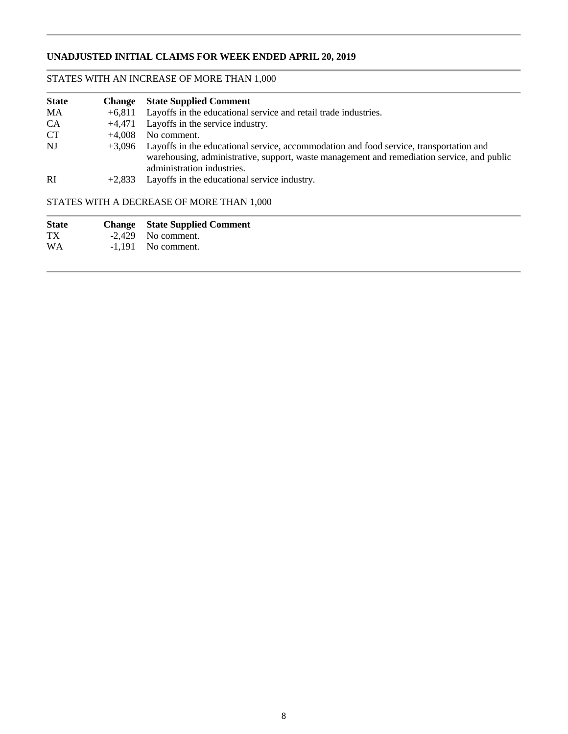# **UNADJUSTED INITIAL CLAIMS FOR WEEK ENDED APRIL 20, 2019**

# STATES WITH AN INCREASE OF MORE THAN 1,000

| <b>State</b>  |          | <b>Change</b> State Supplied Comment                                                                                                                                                                                      |
|---------------|----------|---------------------------------------------------------------------------------------------------------------------------------------------------------------------------------------------------------------------------|
| MA            | $+6.811$ | Layoffs in the educational service and retail trade industries.                                                                                                                                                           |
| <b>CA</b>     |          | $+4,471$ Layoffs in the service industry.                                                                                                                                                                                 |
| <b>CT</b>     | $+4.008$ | No comment.                                                                                                                                                                                                               |
| NI            |          | +3,096 Layoffs in the educational service, accommodation and food service, transportation and<br>warehousing, administrative, support, waste management and remediation service, and public<br>administration industries. |
| <sub>RI</sub> | $+2.833$ | Layoffs in the educational service industry.                                                                                                                                                                              |

# STATES WITH A DECREASE OF MORE THAN 1,000

| <b>State</b> | <b>Change</b> State Supplied Comment |
|--------------|--------------------------------------|
| TX           | $-2,429$ No comment.                 |
| <b>WA</b>    | $-1.191$ No comment.                 |